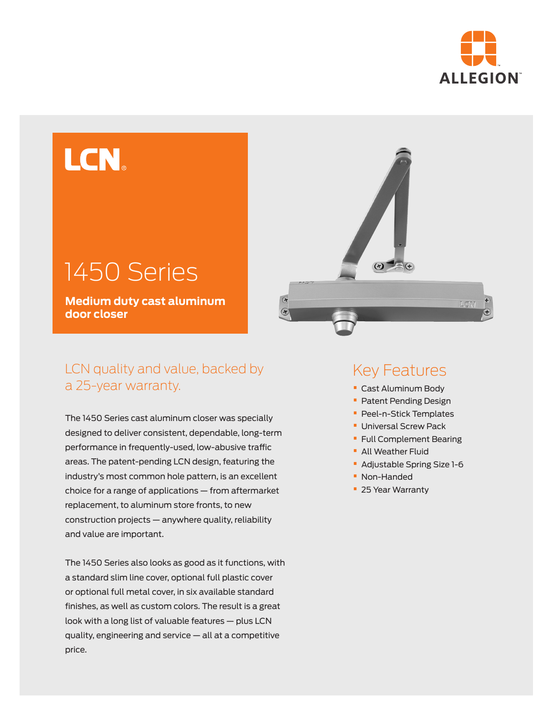

# LCN

## 1450 Series

**Medium duty cast aluminum door closer**

## LCN quality and value, backed by a 25-year warranty.

The 1450 Series cast aluminum closer was specially designed to deliver consistent, dependable, long-term performance in frequently-used, low-abusive traffic areas. The patent-pending LCN design, featuring the industry's most common hole pattern, is an excellent choice for a range of applications — from aftermarket replacement, to aluminum store fronts, to new construction projects — anywhere quality, reliability and value are important.

The 1450 Series also looks as good as it functions, with a standard slim line cover, optional full plastic cover or optional full metal cover, in six available standard finishes, as well as custom colors. The result is a great look with a long list of valuable features — plus LCN quality, engineering and service — all at a competitive price.



## Key Features

- **•** Cast Aluminum Body
- **•** Patent Pending Design
- **•** Peel-n-Stick Templates
- **•** Universal Screw Pack
- **•** Full Complement Bearing
- **•** All Weather Fluid
- **•** Adjustable Spring Size 1-6
- **•** Non-Handed
- **•** 25 Year Warranty